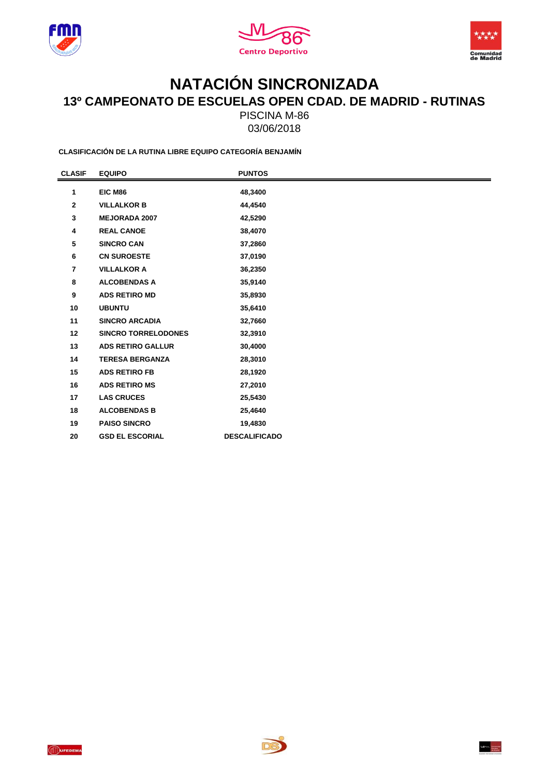





## **NATACIÓN SINCRONIZADA 13º CAMPEONATO DE ESCUELAS OPEN CDAD. DE MADRID - RUTINAS**

PISCINA M-86 03/06/2018

**CLASIFICACIÓN DE LA RUTINA LIBRE EQUIPO CATEGORÍA BENJAMÍN**

| <b>CLASIF</b>  | <b>EQUIPO</b>              | <b>PUNTOS</b>        |  |
|----------------|----------------------------|----------------------|--|
| 1              | EIC M86                    | 48,3400              |  |
| $\mathbf{2}$   | <b>VILLALKOR B</b>         | 44,4540              |  |
| 3              | <b>MEJORADA 2007</b>       | 42,5290              |  |
| 4              | <b>REAL CANOE</b>          | 38,4070              |  |
| 5              | <b>SINCRO CAN</b>          | 37,2860              |  |
| 6              | <b>CN SUROESTE</b>         | 37,0190              |  |
| $\overline{7}$ | <b>VILLALKOR A</b>         | 36,2350              |  |
| 8              | <b>ALCOBENDAS A</b>        | 35,9140              |  |
| 9              | <b>ADS RETIRO MD</b>       | 35,8930              |  |
| 10             | <b>UBUNTU</b>              | 35,6410              |  |
| 11             | <b>SINCRO ARCADIA</b>      | 32,7660              |  |
| 12             | <b>SINCRO TORRELODONES</b> | 32,3910              |  |
| 13             | <b>ADS RETIRO GALLUR</b>   | 30,4000              |  |
| 14             | <b>TERESA BERGANZA</b>     | 28,3010              |  |
| 15             | <b>ADS RETIRO FB</b>       | 28,1920              |  |
| 16             | <b>ADS RETIRO MS</b>       | 27,2010              |  |
| 17             | <b>LAS CRUCES</b>          | 25,5430              |  |
| 18             | <b>ALCOBENDAS B</b>        | 25,4640              |  |
| 19             | <b>PAISO SINCRO</b>        | 19,4830              |  |
| 20             | <b>GSD EL ESCORIAL</b>     | <b>DESCALIFICADO</b> |  |



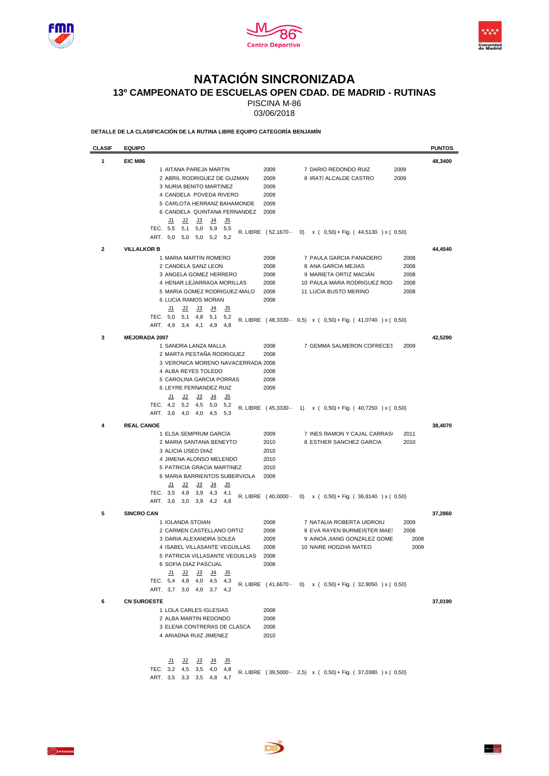





## **NATACIÓN SINCRONIZADA**

**13º CAMPEONATO DE ESCUELAS OPEN CDAD. DE MADRID - RUTINAS**

PISCINA M-86

03/06/2018

**DETALLE DE LA CLASIFICACIÓN DE LA RUTINA LIBRE EQUIPO CATEGORÍA BENJAMÍN**

| <b>CLASIF</b> | <b>EQUIPO</b>                                                                                                                                                                                                                                                           |                                                                                                                                                                                                                                                        | <b>PUNTOS</b> |
|---------------|-------------------------------------------------------------------------------------------------------------------------------------------------------------------------------------------------------------------------------------------------------------------------|--------------------------------------------------------------------------------------------------------------------------------------------------------------------------------------------------------------------------------------------------------|---------------|
| 1             | EIC M86                                                                                                                                                                                                                                                                 |                                                                                                                                                                                                                                                        | 48,3400       |
|               | 1 AITANA PAREJA MARTIN<br>2 ABRIL RODRIGUEZ DE GUZMAN<br>3 NURIA BENITO MARTINEZ<br>4 CANDELA POVEDA RIVERO<br>5 CARLOTA HERRANZ BAHAMONDE<br>6 CANDELA QUINTANA FERNANDEZ                                                                                              | 2009<br>7 DARIO REDONDO RUIZ<br>2009<br>2009<br>8 IRATI ALCALDE CASTRO<br>2009<br>2009<br>2009<br>2009<br>2009                                                                                                                                         |               |
|               | <u>J2</u><br><u>J3</u><br><u>J4</u><br><u>J5</u><br><u>J1</u><br>TEC. 5,5<br>5,0<br>5,9<br>5,1<br>5,5<br>ART. 5,0<br>5,2<br>5,0<br>5,0<br>5,2                                                                                                                           | R. LIBRE (52,1670 - 0) x (0,50) + Fig. (44,5130) x (0,50)                                                                                                                                                                                              |               |
| $\mathbf{2}$  | <b>VILLALKOR B</b>                                                                                                                                                                                                                                                      |                                                                                                                                                                                                                                                        | 44,4540       |
|               | 1 MARIA MARTIN ROMERO<br>2 CANDELA SANZ LEON<br>3 ANGELA GOMEZ HERRERO<br>4 HENAR LEJARRAGA MORILLAS<br>5 MARIA GOMEZ RODRIGUEZ-MALO<br>6 LUCIA RAMOS MORAN                                                                                                             | 2008<br>7 PAULA GARCIA PANADERO<br>2008<br>2008<br>8 ANA GARCIA MEJIAS<br>2008<br>2008<br>9 MARIETA ORTIZ MACIAN<br>2008<br>2008<br>10 PAULA MARA RODRIGUEZ ROD<br>2008<br>2008<br>11 LUCIA BUSTO MERINO<br>2008<br>2008                               |               |
|               | <u>J2</u><br><u>J3</u><br><u>يا</u><br><u>J5</u><br><u>J1</u><br>TEC. 5,0<br>5,1<br>4,8<br>5,1<br>5,2<br>ART. 4,9<br>3,4<br>4,1<br>4,9<br>4,8                                                                                                                           | R. LIBRE (48,3330 - 0,5) x (0,50) + Fig. (41,0740 ) x (0,50)                                                                                                                                                                                           |               |
| 3             | <b>MEJORADA 2007</b><br>1 SANDRA LANZA MALLA<br>2 MARTA PESTAÑA RODRIGUEZ<br>3 VERONICA MORENO NAVACERRADA 2008<br>4 ALBA REYES TOLEDO<br>5 CAROLINA GARCIA PORRAS<br>6 LEYRE FERNANDEZ RUIZ                                                                            | 2008<br>7 GEMMA SALMERON COFRECES<br>2009<br>2008<br>2008<br>2008<br>2009                                                                                                                                                                              | 42,5290       |
|               | J1<br><u>J2</u><br><u>J3</u><br>J4<br><u>J5</u><br>TEC. 4,2<br>5,2<br>4,5<br>5,0<br>5,2<br>ART. 3,6<br>4,0<br>4,0<br>4,5<br>5,3                                                                                                                                         | R. LIBRE (45,3330 - 1) x (0,50) + Fig. (40,7250) x (0,50)                                                                                                                                                                                              |               |
| 4             | <b>REAL CANOE</b><br>1 ELSA SEMPRUM GARCIA<br>2 MARIA SANTANA BENEYTO<br>3 ALICIA USED DIAZ<br>4 JIMENA ALONSO MELENDO<br>5 PATRICIA GRACIA MARTINEZ<br>6 MARIA BARRIENTOS SUBERVIOLA<br>J4<br>J5<br>J1<br>J2<br>J3<br>TEC. 3,5<br>4,8<br>3,9<br>4,3<br>4,1             | 2009<br>7 INES RAMON Y CAJAL CARRAS<br>2011<br>2010<br>8 ESTHER SANCHEZ GARCIA<br>2010<br>2010<br>2010<br>2010<br>2009                                                                                                                                 | 38,4070       |
|               | ART. 3,6<br>3,0<br>3,9<br>4,2<br>4,8                                                                                                                                                                                                                                    | R. LIBRE (40,0000 - 0) x (0,50) + Fig. (36,8140) x (0,50)                                                                                                                                                                                              |               |
| 5             | <b>SINCRO CAN</b><br>1 IOLANDA STOIAN<br>2 CARMEN CASTELLANO ORTIZ<br>3 DARIA ALEXANDRA SOLEA<br>4 ISABEL VILLASANTE VEGUILLAS<br>5 PATRICIA VILLASANTE VEGUILLAS 2008<br>6 SOFIA DIAZ PASCUAL<br><u>J4 J5</u><br><u>J1</u><br><u>J2 J3</u><br>TEC. 5,4 4,8 4,0 4,5 4,3 | 2008<br>7 NATALIA ROBERTA UIDROIU<br>2009<br>2008<br>8 EVA RAYEN BURMEISTER MAES<br>2008<br>2009<br>9 AINOA JIANG GONZALEZ GOME<br>2008<br>2008<br>10 NAIRE HODZHA MATEO<br>2009<br>2008<br>R. LIBRE (41,6670 - 0) x (0,50) + Fig. (32,9050 ) x (0,50) | 37,2860       |
| 6             | ART. 3,7 3,0 4,0 3,7 4,2<br><b>CN SUROESTE</b><br>1 LOLA CARLES IGLESIAS<br>2 ALBA MARTIN REDONDO<br>3 ELENA CONTRERAS DE CLASCA<br>4 ARIADNA RUIZ JIMENEZ                                                                                                              | 2008<br>2008<br>2008<br>2010                                                                                                                                                                                                                           | 37,0190       |
|               | <u>J1 J2 J3</u><br><u>J4 J5</u><br>TEC. 3,2 4,5 3,5 4,0 4,8<br>ART. 3,5 3,3 3,5 4,8 4,7                                                                                                                                                                                 | R. LIBRE (39,5000 - 2,5) x (0,50) + Fig. (37,0380 ) x (0,50)                                                                                                                                                                                           |               |

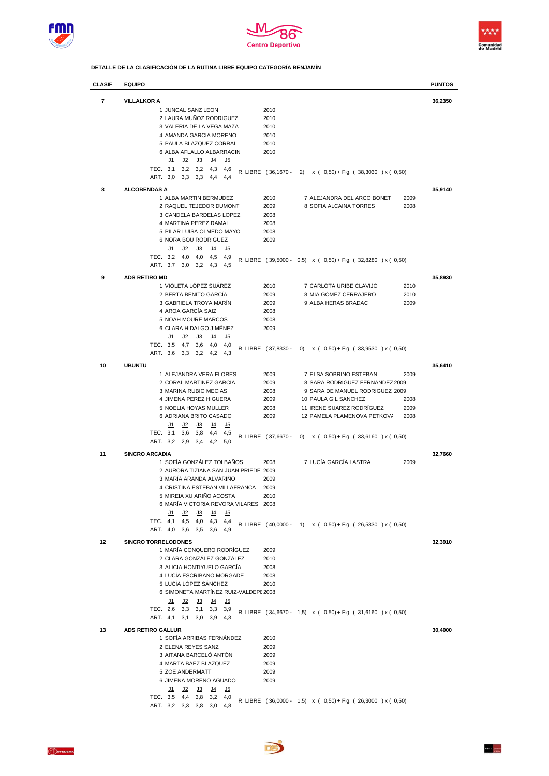





**DETALLE DE LA CLASIFICACIÓN DE LA RUTINA LIBRE EQUIPO CATEGORÍA BENJAMÍN**

| <b>CLASIF</b> | <b>EQUIPO</b>                                                                                       |                     |                                                               | <b>PUNTOS</b> |
|---------------|-----------------------------------------------------------------------------------------------------|---------------------|---------------------------------------------------------------|---------------|
| 7             | <b>VILLALKOR A</b>                                                                                  |                     |                                                               | 36,2350       |
|               | 1 JUNCAL SANZ LEON                                                                                  | 2010                |                                                               |               |
|               | 2 LAURA MUÑOZ RODRIGUEZ                                                                             | 2010                |                                                               |               |
|               | 3 VALERIA DE LA VEGA MAZA                                                                           | 2010                |                                                               |               |
|               | 4 AMANDA GARCIA MORENO                                                                              | 2010                |                                                               |               |
|               | 5 PAULA BLAZQUEZ CORRAL                                                                             | 2010                |                                                               |               |
|               | 6 ALBA AFLALLO ALBARRACIN                                                                           | 2010                |                                                               |               |
|               | J1<br>J2<br>J3<br>J <sub>4</sub><br><u>J5</u>                                                       |                     |                                                               |               |
|               | TEC. 3,1<br>3,2<br>3,2<br>4,3<br>4,6                                                                | R. LIBRE (36,1670 - | 2)<br>$x$ ( 0,50) + Fig. ( 38,3030 ) x ( 0,50)                |               |
|               | ART. 3,0<br>3,3<br>3,3<br>4,4<br>4,4                                                                |                     |                                                               |               |
| 8             | <b>ALCOBENDAS A</b>                                                                                 |                     |                                                               | 35,9140       |
|               | 1 ALBA MARTIN BERMUDEZ                                                                              | 2010                | 7 ALEJANDRA DEL ARCO BONET<br>2009                            |               |
|               | 2 RAQUEL TEJEDOR DUMONT                                                                             | 2009                | 8 SOFIA ALCAINA TORRES<br>2008                                |               |
|               | 3 CANDELA BARDELAS LOPEZ<br>4 MARTINA PEREZ RAMAL                                                   | 2008<br>2008        |                                                               |               |
|               | 5 PILAR LUISA OLMEDO MAYO                                                                           | 2008                |                                                               |               |
|               | 6 NORA BOU RODRIGUEZ                                                                                | 2009                |                                                               |               |
|               | J1<br><u>J2</u><br>J3<br><u>يا</u><br><u>J5</u>                                                     |                     |                                                               |               |
|               | TEC.<br>3,2<br>4,0<br>4,0<br>4,5<br>4,9                                                             |                     |                                                               |               |
|               | ART. 3,7<br>3,0<br>3,2<br>4,3<br>4,5                                                                |                     | R. LIBRE (39,5000 - 0,5) x (0,50) + Fig. (32,8280) x (0,50)   |               |
| 9             | <b>ADS RETIRO MD</b>                                                                                |                     |                                                               | 35,8930       |
|               | 1 VIOLETA LÓPEZ SUÁREZ                                                                              | 2010                | 7 CARLOTA URIBE CLAVIJO<br>2010                               |               |
|               | 2 BERTA BENITO GARCÍA                                                                               | 2009                | 8 MIA GÓMEZ CERRAJERO<br>2010                                 |               |
|               | 3 GABRIELA TROYA MARÍN                                                                              | 2009                | 9 ALBA HERAS BRADAC<br>2009                                   |               |
|               | 4 AROA GARCÍA SAIZ                                                                                  | 2008                |                                                               |               |
|               | 5 NOAH MOURE MARCOS                                                                                 | 2008                |                                                               |               |
|               | 6 CLARA HIDALGO JIMÉNEZ                                                                             | 2009                |                                                               |               |
|               | J2<br>J5<br><u>J1</u><br><u>J3</u><br>J4                                                            |                     |                                                               |               |
|               | TEC.<br>3,5<br>4,7<br>3,6<br>4,0<br>4,0                                                             | R. LIBRE (37,8330 - | $x$ ( 0,50) + Fig. ( 33,9530 ) x ( 0,50)<br>$\left( 0\right)$ |               |
|               | ART.<br>3,6<br>3,2<br>3,3<br>4,2<br>4,3                                                             |                     |                                                               |               |
| 10            | <b>UBUNTU</b>                                                                                       |                     |                                                               | 35,6410       |
|               | 1 ALEJANDRA VERA FLORES                                                                             | 2009                | 7 ELSA SOBRINO ESTEBAN<br>2009                                |               |
|               | 2 CORAL MARTINEZ GARCIA                                                                             | 2009                | 8 SARA RODRIGUEZ FERNANDEZ 2009                               |               |
|               | 3 MARINA RUBIO MECIAS                                                                               | 2008                | 9 SARA DE MANUEL RODRIGUEZ 2009                               |               |
|               | 4 JIMENA PEREZ HIGUERA                                                                              | 2009                | 10 PAULA GIL SANCHEZ<br>2008                                  |               |
|               | 5 NOELIA HOYAS MULLER                                                                               | 2008                | 11 IRENE SUAREZ RODRIGUEZ<br>2009                             |               |
|               | 6 ADRIANA BRITO CASADO                                                                              | 2009                | 12 PAMELA PLAMENOVA PETKOV/<br>2008                           |               |
|               | J <sub>4</sub><br>J5<br><u>J1</u><br><u>J2</u><br><u>J3</u><br>TEC. 3.1<br>3,8<br>3,6<br>4,4<br>4,5 |                     |                                                               |               |
|               | ART. 3,2<br>2,9<br>3,4<br>4,2<br>5,0                                                                | R. LIBRE (37,6670 - | 0)<br>$x$ ( 0,50) + Fig. ( 33,6160 ) x ( 0,50)                |               |
|               |                                                                                                     |                     |                                                               |               |
| 11            | <b>SINCRO ARCADIA</b><br>1 SOFÍA GONZÁLEZ TOLBAÑOS                                                  |                     | 7 LUCÍA GARCÍA LASTRA                                         | 32,7660       |
|               | 2 AURORA TIZIANA SAN JUAN PRIEDE 2009                                                               | 2008                | 2009                                                          |               |
|               | 3 MARÍA ARANDA ALVARIÑO                                                                             | 2009                |                                                               |               |
|               | 4 CRISTINA ESTEBAN VILLAFRANCA                                                                      | 2009                |                                                               |               |
|               | 5 MIREIA XU ARINO ACOSTA                                                                            | 2010                |                                                               |               |
|               | 6 MARÍA VICTORIA REVORA VILARES 2008                                                                |                     |                                                               |               |
|               | <u>J2</u><br><u>J3</u><br><u>J4</u><br><u>J5</u><br><u>J1</u>                                       |                     |                                                               |               |
|               | TEC. 4,1 4,5 4,0<br>4,3 4,4                                                                         |                     | R. LIBRE (40,0000 - 1) x (0,50) + Fig. (26,5330 ) x (0,50)    |               |
|               | ART. 4,0 3,6 3,5 3,6 4,9                                                                            |                     |                                                               |               |
| 12            | <b>SINCRO TORRELODONES</b>                                                                          |                     |                                                               | 32,3910       |
|               | 1 MARÍA CONQUERO RODRÍGUEZ                                                                          | 2009                |                                                               |               |
|               | 2 CLARA GONZÁLEZ GONZÁLEZ                                                                           | 2010                |                                                               |               |
|               | 3 ALICIA HONTIYUELO GARCÍA                                                                          | 2008                |                                                               |               |
|               | 4 LUCÍA ESCRIBANO MORGADE                                                                           | 2008                |                                                               |               |
|               | 5 LUCÍA LÓPEZ SÁNCHEZ                                                                               | 2010                |                                                               |               |
|               | 6 SIMONETA MARTÍNEZ RUIZ-VALDEPE 2008                                                               |                     |                                                               |               |
|               | <u>J2</u><br><u>J3</u><br><u>J4</u><br><u>J5</u><br><u>J1</u><br>TEC. 2,6 3,3<br>3,1<br>$3,3$ $3,9$ |                     |                                                               |               |
|               | ART. 4,1 3,1 3,0<br>$3,9$ 4,3                                                                       |                     | R. LIBRE (34,6670 - 1,5) x (0,50) + Fig. (31,6160) x (0,50)   |               |
|               |                                                                                                     |                     |                                                               |               |
| 13            | <b>ADS RETIRO GALLUR</b>                                                                            |                     |                                                               | 30,4000       |
|               | 1 SOFÍA ARRIBAS FERNÁNDEZ<br>2 ELENA REYES SANZ                                                     | 2010<br>2009        |                                                               |               |
|               | 3 AITANA BARCELO ANTÓN                                                                              | 2009                |                                                               |               |
|               | 4 MARTA BAEZ BLAZQUEZ                                                                               | 2009                |                                                               |               |
|               | 5 ZOE ANDERMATT                                                                                     | 2009                |                                                               |               |
|               | 6 JIMENA MORENO AGUADO                                                                              | 2009                |                                                               |               |
|               | <u>J2</u><br><u>J3</u><br><u>J4</u><br><u>J1</u><br><u>J5</u>                                       |                     |                                                               |               |
|               | TEC. 3,5 4,4<br>3,2<br>3,8<br>4,0                                                                   |                     | R. LIBRE (36,0000 - 1,5) x (0,50) + Fig. (26,3000) x (0,50)   |               |
|               | ART. 3,2 3,3 3,8<br>3,0<br>4,8                                                                      |                     |                                                               |               |

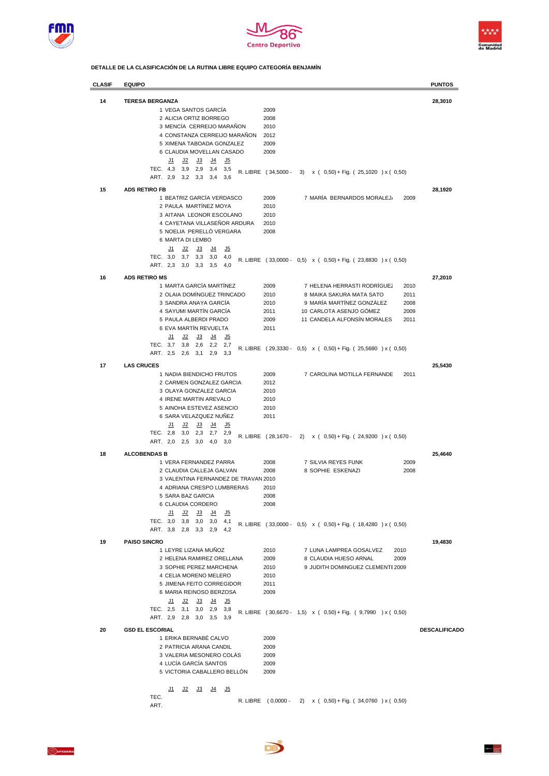





**DETALLE DE LA CLASIFICACIÓN DE LA RUTINA LIBRE EQUIPO CATEGORÍA BENJAMÍN**

| <b>CLASIF</b> | <b>EQUIPO</b>                                                 |                     |                                                              | <b>PUNTOS</b>        |
|---------------|---------------------------------------------------------------|---------------------|--------------------------------------------------------------|----------------------|
| 14            | <b>TERESA BERGANZA</b>                                        |                     |                                                              | 28,3010              |
|               | 1 VEGA SANTOS GARCIA                                          | 2009                |                                                              |                      |
|               | 2 ALICIA ORTIZ BORREGO                                        | 2008                |                                                              |                      |
|               | 3 MENCÍA CERREIJO MARAÑON                                     | 2010                |                                                              |                      |
|               | 4 CONSTANZA CERREIJO MARAÑON                                  | 2012                |                                                              |                      |
|               | 5 XIMENA TABOADA GONZALEZ                                     | 2009                |                                                              |                      |
|               | 6 CLAUDIA MOVELLAN CASADO                                     | 2009                |                                                              |                      |
|               | J2<br><u>J5</u><br><u>J1</u><br><u>J3</u><br><u>J4</u>        |                     |                                                              |                      |
|               | TEC. 4,3<br>3,9<br>2,9<br>3,4<br>3,5                          | R. LIBRE (34,5000 - | 3) $x (0,50) + Fig. (25,1020) x (0,50)$                      |                      |
|               | ART. 2,9<br>3,2<br>3,3<br>3,4<br>3,6                          |                     |                                                              |                      |
| 15            | <b>ADS RETIRO FB</b>                                          |                     |                                                              | 28,1920              |
|               | 1 BEATRIZ GARCÍA VERDASCO                                     | 2009                | 7 MARÍA BERNARDOS MORALEJ<br>2009                            |                      |
|               | 2 PAULA MARTÍNEZ MOYA                                         | 2010                |                                                              |                      |
|               | 3 AITANA LEONOR ESCOLANO                                      | 2010                |                                                              |                      |
|               | 4 CAYETANA VILLASEÑOR ARDURA                                  | 2010                |                                                              |                      |
|               | 5 NOELIA PERELLÓ VERGARA                                      | 2008                |                                                              |                      |
|               | 6 MARTA DI LEMBO                                              |                     |                                                              |                      |
|               | <u>J1</u><br><u>J2</u><br><u>J3</u><br><u>J4</u><br><u>J5</u> |                     |                                                              |                      |
|               | TEC. 3,0<br>3,7<br>3,3<br>3,0<br>4,0                          |                     | R. LIBRE (33,0000 - 0,5) x (0,50) + Fig. (23,8830) x (0,50)  |                      |
|               | ART. 2,3<br>3,0<br>3,3<br>3,5<br>4,0                          |                     |                                                              |                      |
| 16            | <b>ADS RETIRO MS</b>                                          |                     |                                                              | 27,2010              |
|               | 1 MARTA GARCÍA MARTÍNEZ                                       | 2009                | 7 HELENA HERRASTI RODRIGUEZ<br>2010                          |                      |
|               | 2 OLAIA DOMÍNGUEZ TRINCADO                                    | 2010                | 8 MAIKA SAKURA MATA SATO<br>2011                             |                      |
|               | 3 SANDRA ANAYA GARCÍA                                         | 2010                | 9 MARÍA MARTÍNEZ GONZÁLEZ<br>2008                            |                      |
|               | 4 SAYUMI MARTÍN GARCÍA                                        | 2011                | 10 CARLOTA ASENJO GÓMEZ<br>2009                              |                      |
|               | 5 PAULA ALBERDI PRADO                                         | 2009                | 11 CANDELA ALFONSÍN MORALES<br>2011                          |                      |
|               | 6 EVA MARTÍN REVUELTA                                         | 2011                |                                                              |                      |
|               | <u>J2</u><br>J3<br><u>J4</u><br><u>J5</u><br><u>J1</u>        |                     |                                                              |                      |
|               | TEC. 3,7<br>3,8<br>2,6<br>2,2<br>2,7                          |                     |                                                              |                      |
|               | ART. 2,5<br>2,6<br>3,1<br>2,9<br>3,3                          |                     | R. LIBRE (29,3330 - 0,5) x (0,50) + Fig. (25,5680) x (0,50)  |                      |
|               | <b>LAS CRUCES</b>                                             |                     |                                                              |                      |
| 17            | 1 NADIA BIENDICHO FRUTOS                                      | 2009                | 7 CAROLINA MOTILLA FERNANDE<br>2011                          | 25,5430              |
|               | 2 CARMEN GONZALEZ GARCIA                                      | 2012                |                                                              |                      |
|               | 3 OLAYA GONZALEZ GARCIA                                       | 2010                |                                                              |                      |
|               | 4 IRENE MARTIN AREVALO                                        | 2010                |                                                              |                      |
|               | 5 AINOHA ESTEVEZ ASENCIO                                      | 2010                |                                                              |                      |
|               | 6 SARA VELAZQUEZ NUÑEZ                                        | 2011                |                                                              |                      |
|               | J5<br><u>J1</u><br><u>J2</u><br><u>J3</u><br><u>J4</u>        |                     |                                                              |                      |
|               | TEC. 2,8<br>2,3<br>3,0<br>2,7<br>2,9                          |                     |                                                              |                      |
|               | ART. 2,0<br>4,0<br>2,5<br>3,0<br>3,0                          | R. LIBRE (28,1670 - | 2) x ( 0,50) + Fig. ( 24,9200 ) x ( 0,50)                    |                      |
|               |                                                               |                     |                                                              |                      |
| 18            | <b>ALCOBENDAS B</b><br>1 VERA FERNANDEZ PARRA                 | 2008                | 7 SILVIA REYES FUNK<br>2009                                  | 25,4640              |
|               | 2 CLAUDIA CALLEJA GALVAN                                      | 2008                | 8 SOPHIE ESKENAZI<br>2008                                    |                      |
|               | 3 VALENTINA FERNANDEZ DE TRAVAN 2010                          |                     |                                                              |                      |
|               | 4 ADRIANA CRESPO LUMBRERAS                                    | 2010                |                                                              |                      |
|               | 5 SARA BAZ GARCIA                                             | 2008                |                                                              |                      |
|               | 6 CLAUDIA CORDERO                                             | 2008                |                                                              |                      |
|               | <u>J2</u><br>J3<br><u>J4</u><br><u>J1</u><br><u>J5</u>        |                     |                                                              |                      |
|               | TEC. 3,0 3,8 3,0<br>$3,0$ 4,1                                 |                     |                                                              |                      |
|               | ART. 3,8 2,8 3,3 2,9 4,2                                      |                     | R. LIBRE (33,0000 - 0,5) x (0,50) + Fig. (18,4280 ) x (0,50) |                      |
| 19            | <b>PAISO SINCRO</b>                                           |                     |                                                              | 19,4830              |
|               | 1 LEYRE LIZANA MUÑOZ                                          | 2010                | 7 LUNA LAMPREA GOSALVEZ<br>2010                              |                      |
|               | 2 HELENA RAMIREZ ORELLANA                                     | 2009                | 8 CLAUDIA HUESO ARNAL<br>2009                                |                      |
|               | 3 SOPHIE PEREZ MARCHENA                                       | 2010                | 9 JUDITH DOMINGUEZ CLEMENTE 2009                             |                      |
|               | 4 CELIA MORENO MELERO                                         | 2010                |                                                              |                      |
|               | 5 JIMENA FEITO CORREGIDOR                                     | 2011                |                                                              |                      |
|               | 6 MARIA REINOSO BERZOSA                                       | 2009                |                                                              |                      |
|               | <u>J3</u><br><u>J1</u><br><u>J2</u><br><u>J4</u><br><u>J5</u> |                     |                                                              |                      |
|               | TEC. 2,5 3,1<br>$3,0$ $2,9$ $3,8$                             |                     | R. LIBRE (30,6670 - 1,5) x (0,50) + Fig. (9,7990 ) x (0,50)  |                      |
|               | ART. 2,9 2,8 3,0 3,5 3,9                                      |                     |                                                              |                      |
| 20            | <b>GSD EL ESCORIAL</b>                                        |                     |                                                              | <b>DESCALIFICADO</b> |
|               | 1 ERIKA BERNABÉ CALVO                                         | 2009                |                                                              |                      |
|               | 2 PATRICIA ARANA CANDIL                                       | 2009                |                                                              |                      |
|               | 3 VALERIA MESONERO COLÁS                                      | 2009                |                                                              |                      |
|               | 4 LUCÍA GARCÍA SANTOS                                         | 2009                |                                                              |                      |
|               | 5 VICTORIA CABALLERO BELLÓN                                   | 2009                |                                                              |                      |
|               |                                                               |                     |                                                              |                      |
|               | <u>J1</u><br><u>J2 J3</u><br><u>يل</u><br><u>J5</u>           |                     |                                                              |                      |
|               | TEC.                                                          |                     | R. LIBRE (0,0000 - 2) x (0,50) + Fig. (34,0760 ) x (0,50)    |                      |
|               | ART.                                                          |                     |                                                              |                      |

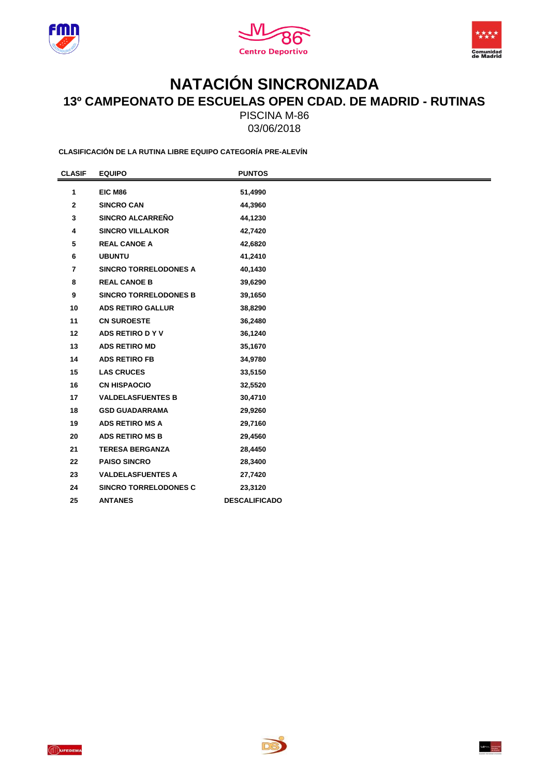





## **NATACIÓN SINCRONIZADA 13º CAMPEONATO DE ESCUELAS OPEN CDAD. DE MADRID - RUTINAS**

PISCINA M-86 03/06/2018

**CLASIFICACIÓN DE LA RUTINA LIBRE EQUIPO CATEGORÍA PRE-ALEVÍN**

| <b>CLASIF</b>  | <b>EQUIPO</b>                | <b>PUNTOS</b>        |  |
|----------------|------------------------------|----------------------|--|
| 1              | <b>EIC M86</b>               | 51,4990              |  |
| $\mathbf{2}$   | <b>SINCRO CAN</b>            | 44,3960              |  |
| 3              | <b>SINCRO ALCARREÑO</b>      | 44,1230              |  |
| 4              | <b>SINCRO VILLALKOR</b>      | 42,7420              |  |
| 5              | <b>REAL CANOE A</b>          | 42,6820              |  |
| 6              | <b>UBUNTU</b>                | 41,2410              |  |
| $\overline{7}$ | <b>SINCRO TORRELODONES A</b> | 40,1430              |  |
| 8              | <b>REAL CANOE B</b>          | 39,6290              |  |
| 9              | <b>SINCRO TORRELODONES B</b> | 39,1650              |  |
| 10             | <b>ADS RETIRO GALLUR</b>     | 38,8290              |  |
| 11             | <b>CN SUROESTE</b>           | 36,2480              |  |
| 12             | ADS RETIRO DYV               | 36,1240              |  |
| 13             | <b>ADS RETIRO MD</b>         | 35,1670              |  |
| 14             | <b>ADS RETIRO FB</b>         | 34,9780              |  |
| 15             | <b>LAS CRUCES</b>            | 33,5150              |  |
| 16             | <b>CN HISPAOCIO</b>          | 32,5520              |  |
| 17             | <b>VALDELASFUENTES B</b>     | 30,4710              |  |
| 18             | <b>GSD GUADARRAMA</b>        | 29,9260              |  |
| 19             | <b>ADS RETIRO MS A</b>       | 29,7160              |  |
| 20             | <b>ADS RETIRO MS B</b>       | 29,4560              |  |
| 21             | <b>TERESA BERGANZA</b>       | 28,4450              |  |
| 22             | <b>PAISO SINCRO</b>          | 28,3400              |  |
| 23             | <b>VALDELASFUENTES A</b>     | 27,7420              |  |
| 24             | <b>SINCRO TORRELODONES C</b> | 23,3120              |  |
| 25             | <b>ANTANES</b>               | <b>DESCALIFICADO</b> |  |



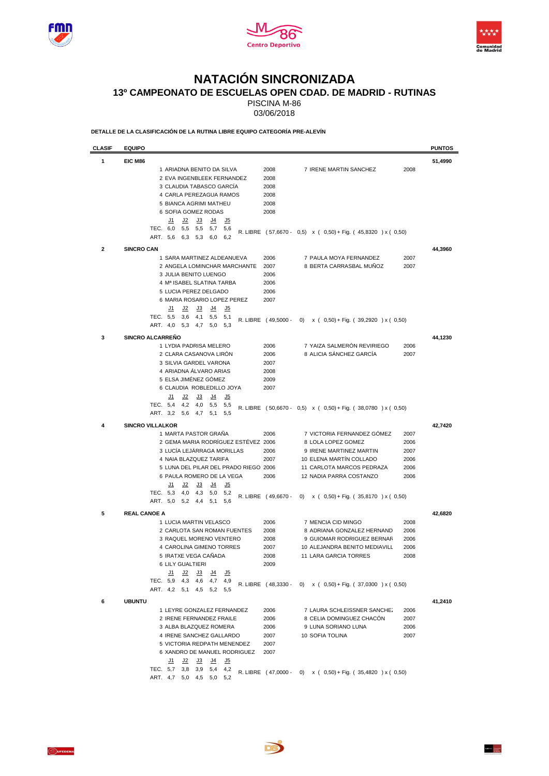





## **NATACIÓN SINCRONIZADA**

**13º CAMPEONATO DE ESCUELAS OPEN CDAD. DE MADRID - RUTINAS**

PISCINA M-86

03/06/2018

**DETALLE DE LA CLASIFICACIÓN DE LA RUTINA LIBRE EQUIPO CATEGORÍA PRE-ALEVÍN**

| <b>CLASIF</b> | <b>EQUIPO</b>                                                                                     |                     |                                                              | <b>PUNTOS</b> |
|---------------|---------------------------------------------------------------------------------------------------|---------------------|--------------------------------------------------------------|---------------|
| 1             | EIC M86                                                                                           |                     |                                                              | 51,4990       |
|               | 1 ARIADNA BENITO DA SILVA                                                                         | 2008                | 7 IRENE MARTIN SANCHEZ<br>2008                               |               |
|               | 2 EVA INGENBLEEK FERNANDEZ                                                                        | 2008                |                                                              |               |
|               | 3 CLAUDIA TABASCO GARCIA                                                                          | 2008                |                                                              |               |
|               | 4 CARLA PEREZAGUA RAMOS                                                                           | 2008                |                                                              |               |
|               | 5 BIANCA AGRIMI MATHEU                                                                            | 2008                |                                                              |               |
|               | 6 SOFIA GOMEZ RODAS                                                                               | 2008                |                                                              |               |
|               | <u>J2</u><br><u>J3</u><br><u>J4</u><br><u>J5</u><br><u>J1</u>                                     |                     |                                                              |               |
|               | TEC. 6,0<br>5,5 5,5 5,7<br>5,6<br>ART. 5.6                                                        |                     | R. LIBRE (57,6670 - 0,5) x (0,50) + Fig. (45,8320) x (0,50)  |               |
|               | $5,3$ 6.0<br>6,3<br>6,2                                                                           |                     |                                                              |               |
| $\mathbf{2}$  | <b>SINCRO CAN</b>                                                                                 |                     |                                                              | 44,3960       |
|               | 1 SARA MARTINEZ ALDEANUEVA                                                                        | 2006                | 7 PAULA MOYA FERNANDEZ<br>2007                               |               |
|               | 2 ANGELA LOMINCHAR MARCHANTE                                                                      | 2007                | 8 BERTA CARRASBAL MUÑOZ<br>2007                              |               |
|               | 3 JULIA BENITO LUENGO                                                                             | 2006                |                                                              |               |
|               | 4 Mª ISABEL SLATINA TARBA                                                                         | 2006                |                                                              |               |
|               | 5 LUCIA PEREZ DELGADO                                                                             | 2006                |                                                              |               |
|               | 6 MARIA ROSARIO LOPEZ PEREZ                                                                       | 2007                |                                                              |               |
|               | <u>J2</u><br><u>J3</u><br><u>J4</u><br><u>J5</u><br><u>J1</u><br>TEC. 5,5<br>- 3,6<br>4,1 5,5 5,1 |                     |                                                              |               |
|               | ART. 4,0<br>$4,7$ 5.0<br>5,3<br>5,3                                                               |                     | R. LIBRE (49,5000 - 0) x (0,50) + Fig. (39,2920) x (0,50)    |               |
|               |                                                                                                   |                     |                                                              |               |
| 3             | <b>SINCRO ALCARREÑO</b>                                                                           |                     |                                                              | 44,1230       |
|               | 1 LYDIA PADRISA MELERO                                                                            | 2006                | 7 YAIZA SALMERÓN REVIRIEGO<br>2006                           |               |
|               | 2 CLARA CASANOVA LIRÓN                                                                            | 2006                | 8 ALICIA SÁNCHEZ GARCÍA<br>2007                              |               |
|               | 3 SILVIA GARDEL VARONA<br>4 ARIADNA ÁLVARO ARIAS                                                  | 2007<br>2008        |                                                              |               |
|               | 5 ELSA JIMÉNEZ GÓMEZ                                                                              | 2009                |                                                              |               |
|               | 6 CLAUDIA ROBLEDILLO JOYA                                                                         | 2007                |                                                              |               |
|               | <u>J2</u><br><u>J1</u><br><u>J3</u><br><u>J4</u><br><u>J5</u>                                     |                     |                                                              |               |
|               | TEC. 5,4<br>4,2<br>$4,0$ 5,5<br>5,5                                                               |                     |                                                              |               |
|               | ART. 3,2<br>5,6<br>4,7<br>5,1<br>5,5                                                              |                     | R. LIBRE (50,6670 - 0,5) x (0,50) + Fig. (38,0780 ) x (0,50) |               |
|               |                                                                                                   |                     |                                                              |               |
| 4             | <b>SINCRO VILLALKOR</b><br>1 MARTA PASTOR GRAÑA                                                   | 2006                | 7 VICTORIA FERNANDEZ GÓMEZ<br>2007                           | 42,7420       |
|               | 2 GEMA MARIA RODRÍGUEZ ESTÉVEZ 2006                                                               |                     | 8 LOLA LOPEZ GOMEZ<br>2006                                   |               |
|               | 3 LUCÍA LEJÁRRAGA MORILLAS                                                                        | 2006                | 9 IRENE MARTINEZ MARTIN<br>2007                              |               |
|               | 4 NAIA BLAZQUEZ TARIFA                                                                            | 2007                | 10 ELENA MARTIN COLLADO<br>2006                              |               |
|               | 5 LUNA DEL PILAR DEL PRADO RIEGO 2006                                                             |                     | 11 CARLOTA MARCOS PEDRAZA<br>2006                            |               |
|               | 6 PAULA ROMERO DE LA VEGA                                                                         | 2006                | 12 NADIA PARRA COSTANZO<br>2006                              |               |
|               | <u>J2</u><br>J4<br>J5<br><u>J1</u><br><u>J3</u>                                                   |                     |                                                              |               |
|               | TEC. 5,3<br>4,0<br>4,3<br>5,0<br>5,2                                                              | R. LIBRE (49,6670 - | 0) $x (0,50) + Fig. (35,8170) x (0,50)$                      |               |
|               | ART. 5,0<br>5,1<br>5,2 4,4<br>5,6                                                                 |                     |                                                              |               |
| 5             | <b>REAL CANOE A</b>                                                                               |                     |                                                              | 42,6820       |
|               | 1 LUCIA MARTIN VELASCO                                                                            | 2006                | 7 MENCIA CID MINGO<br>2008                                   |               |
|               | 2 CARLOTA SAN ROMAN FUENTES                                                                       | 2008                | 8 ADRIANA GONZALEZ HERNAND<br>2006                           |               |
|               | 3 RAQUEL MORENO VENTERO                                                                           | 2008                | 9 GUIOMAR RODRIGUEZ BERNAR<br>2006                           |               |
|               | 4 CAROLINA GIMENO TORRES                                                                          | 2007                | 10 ALEJANDRA BENITO MEDIAVILL<br>2006                        |               |
|               | 5 IRATXE VEGA CAÑADA                                                                              | 2008                | 11 LARA GARCIA TORRES<br>2008                                |               |
|               | 6 LILY GUALTIERI                                                                                  | 2009                |                                                              |               |
|               | <u>J1</u><br><u>J2 J3 J4 J5</u>                                                                   |                     |                                                              |               |
|               | TEC. 5,9 4,3 4,6 4,7 4,9                                                                          |                     | R. LIBRE (48,3330 - 0) x (0,50) + Fig. (37,0300 ) x (0,50)   |               |
|               | ART. 4,2 5,1 4,5 5,2 5,5                                                                          |                     |                                                              |               |
| 6             | <b>UBUNTU</b>                                                                                     |                     |                                                              | 41,2410       |
|               | 1 LEYRE GONZALEZ FERNANDEZ                                                                        | 2006                | 7 LAURA SCHLEISSNER SANCHE.<br>2006                          |               |
|               | 2 IRENE FERNANDEZ FRAILE                                                                          | 2006                | 8 CELIA DOMINGUEZ CHACÓN<br>2007                             |               |
|               | 3 ALBA BLAZQUEZ ROMERA                                                                            | 2006                | 9 LUNA SORIANO LUNA<br>2006                                  |               |
|               | 4 IRENE SANCHEZ GALLARDO                                                                          | 2007                | 10 SOFIA TOLINA<br>2007                                      |               |
|               | 5 VICTORIA REDPATH MENENDEZ                                                                       | 2007                |                                                              |               |
|               | 6 XANDRO DE MANUEL RODRIGUEZ                                                                      | 2007                |                                                              |               |
|               | <u>J2 J3 J4 J5</u><br><u>J1</u>                                                                   |                     |                                                              |               |
|               | TEC. 5,7 3,8 3,9 5,4 4,2                                                                          |                     | R. LIBRE (47,0000 - 0) x (0.50) + Fig. (35,4820) x (0.50)    |               |
|               | ART. 4,7 5,0 4,5 5,0 5,2                                                                          |                     |                                                              |               |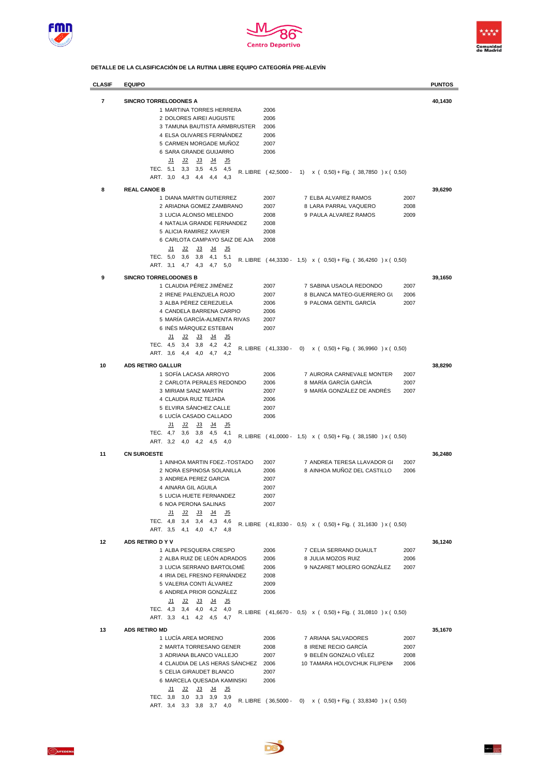





**DETALLE DE LA CLASIFICACIÓN DE LA RUTINA LIBRE EQUIPO CATEGORÍA PRE-ALEVÍN**

| CLASIF         | <b>EQUIPO</b>                                                                                            |                     |                                                                         | <b>PUNTOS</b> |
|----------------|----------------------------------------------------------------------------------------------------------|---------------------|-------------------------------------------------------------------------|---------------|
| $\overline{7}$ | <b>SINCRO TORRELODONES A</b>                                                                             |                     |                                                                         | 40,1430       |
|                | 1 MARTINA TORRES HERRERA                                                                                 | 2006                |                                                                         |               |
|                | 2 DOLORES AIREI AUGUSTE                                                                                  | 2006                |                                                                         |               |
|                | 3 TAMUNA BAUTISTA ARMBRUSTER                                                                             | 2006                |                                                                         |               |
|                | 4 ELSA OLIVARES FERNÁNDEZ                                                                                | 2006                |                                                                         |               |
|                | 5 CARMEN MORGADE MUÑOZ                                                                                   | 2007                |                                                                         |               |
|                | 6 SARA GRANDE GUIJARRO                                                                                   | 2006                |                                                                         |               |
|                | <u>J5</u><br><u>J2</u><br><u>J3</u><br><u>J4</u><br><u>J1</u>                                            |                     |                                                                         |               |
|                | TEC. 5,1<br>3,3<br>3,5<br>4,5<br>4,5                                                                     | R. LIBRE (42,5000 - | $x$ ( 0,50) + Fig. ( 38,7850 ) x ( 0,50)<br>1)                          |               |
|                | ART. 3,0<br>4,4<br>4,3<br>4,3<br>4,4                                                                     |                     |                                                                         |               |
| 8              | <b>REAL CANOE B</b>                                                                                      |                     |                                                                         | 39,6290       |
|                | 1 DIANA MARTIN GUTIERREZ                                                                                 | 2007                | 7 ELBA ALVAREZ RAMOS<br>2007                                            |               |
|                | 2 ARIADNA GOMEZ ZAMBRANO                                                                                 | 2007                | 8 LARA PARRAL VAQUERO<br>2008                                           |               |
|                | 3 LUCIA ALONSO MELENDO                                                                                   | 2008                | 9 PAULA ALVAREZ RAMOS<br>2009                                           |               |
|                | 4 NATALIA GRANDE FERNANDEZ                                                                               | 2008                |                                                                         |               |
|                | 5 ALICIA RAMIREZ XAVIER                                                                                  | 2008                |                                                                         |               |
|                | 6 CARLOTA CAMPAYO SAIZ DE AJA                                                                            | 2008                |                                                                         |               |
|                | <u>J1</u><br><u>J2</u><br><u>J3</u><br><u>يا</u><br><u>J5</u>                                            |                     |                                                                         |               |
|                | TEC. 5,0<br>3,6<br>3,8<br>4,1<br>5,1                                                                     |                     | R. LIBRE $(44,3330 - 1,5) \times (0,50) + Fig. (36,4260) \times (0,50)$ |               |
|                | ART. 3,1<br>4,7<br>4,3<br>4,7<br>5,0                                                                     |                     |                                                                         |               |
| 9              | <b>SINCRO TORRELODONES B</b>                                                                             |                     |                                                                         | 39,1650       |
|                | 1 CLAUDIA PÉREZ JIMÉNEZ                                                                                  | 2007                | 7 SABINA USAOLA REDONDO<br>2007                                         |               |
|                | 2 IRENE PALENZUELA ROJO                                                                                  | 2007                | 8 BLANCA MATEO-GUERRERO GL<br>2006                                      |               |
|                | 3 ALBA PÉREZ CEREZUELA                                                                                   | 2006                | 9 PALOMA GENTIL GARCIA<br>2007                                          |               |
|                | 4 CANDELA BARRENA CARPIO                                                                                 | 2006                |                                                                         |               |
|                | 5 MARÍA GARCÍA-ALMENTA RIVAS                                                                             | 2007                |                                                                         |               |
|                | 6 INÉS MÁRQUEZ ESTEBAN                                                                                   | 2007                |                                                                         |               |
|                | <u>J2</u><br><u>J3</u><br><u>يا</u><br><u>J5</u><br><u>J1</u>                                            |                     |                                                                         |               |
|                | TEC.<br>4,5<br>3,8<br>4,2<br>3,4<br>4,2                                                                  | R. LIBRE (41,3330 - | (0)<br>$x$ ( 0,50) + Fig. ( 36,9960 ) x ( 0,50)                         |               |
|                | ART. 3,6<br>4,4<br>4,0<br>4,7<br>4,2                                                                     |                     |                                                                         |               |
| 10             | <b>ADS RETIRO GALLUR</b>                                                                                 |                     |                                                                         | 38,8290       |
|                | 1 SOFIA LACASA ARROYO                                                                                    | 2006                | 7 AURORA CARNEVALE MONTER<br>2007                                       |               |
|                | 2 CARLOTA PERALES REDONDO                                                                                | 2006                | 8 MARÍA GARCÍA GARCÍA<br>2007                                           |               |
|                | 3 MIRIAM SANZ MARTÍN                                                                                     | 2007                | 9 MARÍA GONZÁLEZ DE ANDRÉS<br>2007                                      |               |
|                | 4 CLAUDIA RUIZ TEJADA                                                                                    | 2006                |                                                                         |               |
|                | 5 ELVIRA SÁNCHEZ CALLE                                                                                   | 2007                |                                                                         |               |
|                | 6 LUCÍA CASADO CALLADO                                                                                   | 2006                |                                                                         |               |
|                | <u>J5</u><br><u>J1</u><br><u>J2</u><br><u>J3</u><br><u>J4</u><br>TEC.<br>4,7<br>3,6<br>3,8<br>4,5<br>4,1 |                     |                                                                         |               |
|                | ART. 3,2<br>4,0<br>4,2<br>4,5<br>4,0                                                                     |                     | R. LIBRE (41,0000 - 1,5) x (0,50) + Fig. (38,1580) x (0,50)             |               |
|                |                                                                                                          |                     |                                                                         |               |
| 11             | <b>CN SUROESTE</b>                                                                                       |                     |                                                                         | 36,2480       |
|                | 1 AINHOA MARTIN FDEZ.-TOSTADO                                                                            | 2007                | 7 ANDREA TERESA LLAVADOR GI<br>2007                                     |               |
|                | 2 NORA ESPINOSA SOLANILLA                                                                                | 2006                | 8 AINHOA MUNOZ DEL CASTILLO<br>2006                                     |               |
|                | 3 ANDREA PEREZ GARCIA                                                                                    | 2007                |                                                                         |               |
|                | 4 AINARA GIL AGUILA                                                                                      | 2007<br>2007        |                                                                         |               |
|                | 5 LUCIA HUETE FERNANDEZ<br>6 NOA PERONA SALINAS                                                          | 2007                |                                                                         |               |
|                | <u>J3</u><br><u>ہل</u><br><u>J2</u><br><u>J5</u><br><u>J1</u>                                            |                     |                                                                         |               |
|                | TEC. 4,8<br>$3,4$ $3,4$ $4,3$<br>4,6                                                                     |                     |                                                                         |               |
|                | ART. 3,5 4,1 4,0 4,7<br>4,8                                                                              |                     | R. LIBRE (41,8330 - 0,5) x (0,50) + Fig. (31,1630) x (0,50)             |               |
|                |                                                                                                          |                     |                                                                         |               |
| 12             | ADS RETIRO D Y V                                                                                         |                     |                                                                         | 36,1240       |
|                | 1 ALBA PESQUERA CRESPO                                                                                   | 2006                | 7 CELIA SERRANO DUAULT<br>2007                                          |               |
|                | 2 ALBA RUIZ DE LEÓN ADRADOS<br>3 LUCIA SERRANO BARTOLOMÉ                                                 | 2006<br>2006        | 8 JULIA MOZOS RUIZ<br>2006<br>9 NAZARET MOLERO GONZÁLEZ<br>2007         |               |
|                | 4 IRIA DEL FRESNO FERNÁNDEZ                                                                              | 2008                |                                                                         |               |
|                | 5 VALERIA CONTI ÁLVAREZ                                                                                  | 2009                |                                                                         |               |
|                | 6 ANDREA PRIOR GONZÁLEZ                                                                                  | 2006                |                                                                         |               |
|                | <u>J2</u><br><u>J3</u><br><u>J4</u><br><u>J5</u><br><u>J1</u>                                            |                     |                                                                         |               |
|                | TEC. 4,3 3,4 4,0 4,2<br>4,0                                                                              |                     |                                                                         |               |
|                | ART. 3,3 4,1 4,2 4,5 4,7                                                                                 |                     | R. LIBRE (41,6670 - 0,5) x (0,50) + Fig. (31,0810) x (0,50)             |               |
| 13             | <b>ADS RETIRO MD</b>                                                                                     |                     |                                                                         |               |
|                | 1 LUCÍA AREA MORENO                                                                                      | 2006                | 7 ARIANA SALVADORES<br>2007                                             | 35,1670       |
|                | 2 MARTA TORRESANO GENER                                                                                  | 2008                | 8 IRENE RECIO GARCÍA<br>2007                                            |               |
|                | 3 ADRIANA BLANCO VALLEJO                                                                                 | 2007                | 9 BELÉN GONZALO VÉLEZ<br>2008                                           |               |
|                | 4 CLAUDIA DE LAS HERAS SÁNCHEZ 2006                                                                      |                     | 10 TAMARA HOLOVCHUK FILIPENK<br>2006                                    |               |
|                | 5 CELIA GIRAUDET BLANCO                                                                                  | 2007                |                                                                         |               |
|                | 6 MARCELA QUESADA KAMINSKI                                                                               | 2006                |                                                                         |               |
|                | <u>J2</u><br><u>J3</u><br><u>J4</u><br><u>J5</u><br><u>J1</u>                                            |                     |                                                                         |               |
|                | TEC. 3,8<br>$3,0$ $3,3$<br>3,9<br>3,9                                                                    |                     | R. LIBRE (36,5000 - 0) x (0,50) + Fig. (33,8340) x (0,50)               |               |
|                | ART. 3,4<br>$3,3$ $3,8$<br>3,7<br>4,0                                                                    |                     |                                                                         |               |

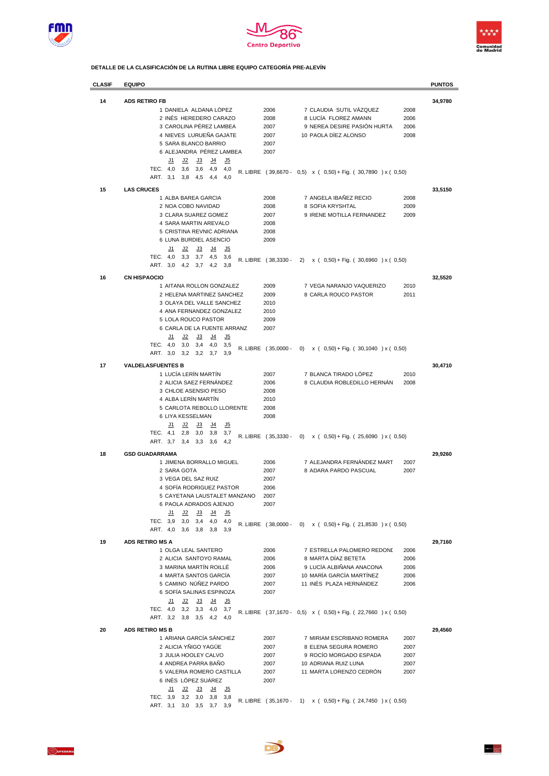





**DETALLE DE LA CLASIFICACIÓN DE LA RUTINA LIBRE EQUIPO CATEGORÍA PRE-ALEVÍN**

| <b>CLASIF</b> | <b>EQUIPO</b>                                                                                               |                     |                                                               |      | <b>PUNTOS</b> |
|---------------|-------------------------------------------------------------------------------------------------------------|---------------------|---------------------------------------------------------------|------|---------------|
| 14            | <b>ADS RETIRO FB</b>                                                                                        |                     |                                                               |      | 34,9780       |
|               | 1 DANIELA ALDANA LÓPEZ                                                                                      | 2006                | 7 CLAUDIA SUTIL VÁZQUEZ                                       | 2008 |               |
|               | 2 INÉS HEREDERO CARAZO                                                                                      | 2008                | 8 LUCÍA FLOREZ AMANN                                          | 2006 |               |
|               | 3 CAROLINA PÉREZ LAMBEA                                                                                     | 2007                | 9 NEREA DESIRE PASIÓN HURTA                                   | 2006 |               |
|               | 4 NIEVES LURUEÑA GAJATE                                                                                     | 2007                | 10 PAOLA DÍEZ ALONSO                                          | 2008 |               |
|               | 5 SARA BLANCO BARRIO                                                                                        | 2007                |                                                               |      |               |
|               | 6 ALEJANDRA PÉREZ LAMBEA                                                                                    | 2007                |                                                               |      |               |
|               | <u>J5</u><br><u>J1</u><br><u>J2</u><br><u>J3</u><br><u>J4</u>                                               |                     |                                                               |      |               |
|               | TEC. 4,0<br>3,6<br>3,6<br>4,9<br>4,0                                                                        |                     | R. LIBRE (39,6670 - 0,5) x (0,50) + Fig. (30,7890) x (0,50)   |      |               |
|               | ART.<br>3,1<br>3,8<br>4,5<br>4,4<br>4,0                                                                     |                     |                                                               |      |               |
| 15            | <b>LAS CRUCES</b>                                                                                           |                     |                                                               |      | 33.5150       |
|               | 1 ALBA BAREA GARCIA                                                                                         | 2008                | 7 ANGELA IBAÑEZ RECIO                                         | 2008 |               |
|               | 2 NOA COBO NAVIDAD                                                                                          | 2008                | 8 SOFIA KRYSHTAL                                              | 2009 |               |
|               | 3 CLARA SUAREZ GOMEZ                                                                                        | 2007                | 9 IRENE MOTILLA FERNANDEZ                                     | 2009 |               |
|               | 4 SARA MARTIN AREVALO                                                                                       | 2008                |                                                               |      |               |
|               | 5 CRISTINA REVNIC ADRIANA                                                                                   | 2008                |                                                               |      |               |
|               | 6 LUNA BURDIEL ASENCIO                                                                                      | 2009                |                                                               |      |               |
|               | J5<br>J2<br>J3<br>J4<br><u>J1</u>                                                                           |                     |                                                               |      |               |
|               | TEC. 4,0<br>3,3<br>3,7<br>4,5<br>3,6                                                                        | R. LIBRE (38,3330 - | $x$ ( 0,50) + Fig. ( 30,6960 ) x ( 0,50)<br>2)                |      |               |
|               | ART. 3,0<br>3,8<br>4,2<br>3,7<br>4,2                                                                        |                     |                                                               |      |               |
| 16            | <b>CN HISPAOCIO</b>                                                                                         |                     |                                                               |      | 32,5520       |
|               | 1 AITANA ROLLON GONZALEZ                                                                                    | 2009                | 7 VEGA NARANJO VAQUERIZO                                      | 2010 |               |
|               | 2 HELENA MARTINEZ SANCHEZ                                                                                   | 2009                | 8 CARLA ROUCO PASTOR                                          | 2011 |               |
|               | 3 OLAYA DEL VALLE SANCHEZ                                                                                   | 2010                |                                                               |      |               |
|               | 4 ANA FERNANDEZ GONZALEZ                                                                                    | 2010                |                                                               |      |               |
|               | 5 LOLA ROUCO PASTOR                                                                                         | 2009                |                                                               |      |               |
|               | 6 CARLA DE LA FUENTE ARRANZ                                                                                 | 2007                |                                                               |      |               |
|               | $15$<br><u>J1</u><br><u>J2</u><br><u>J3</u><br><u>J4</u>                                                    |                     |                                                               |      |               |
|               | TEC. 4,0<br>3,0<br>3,4<br>3,5<br>4,0                                                                        | R. LIBRE (35,0000 - | (0)<br>$x$ ( 0,50) + Fig. ( 30,1040 ) x ( 0,50)               |      |               |
|               | ART. 3,0<br>3,2<br>3,2<br>3,7<br>3,9                                                                        |                     |                                                               |      |               |
| 17            | <b>VALDELASFUENTES B</b>                                                                                    |                     |                                                               |      | 30,4710       |
|               | 1 LUCÍA LERÍN MARTÍN                                                                                        | 2007                | 7 BLANCA TIRADO LÓPEZ                                         | 2010 |               |
|               | 2 ALICIA SAEZ FERNÁNDEZ                                                                                     | 2006                | 8 CLAUDIA ROBLEDILLO HERNAN                                   | 2008 |               |
|               | 3 CHLOE ASENSIO PESO                                                                                        | 2008                |                                                               |      |               |
|               | 4 ALBA LERÍN MARTÍN                                                                                         | 2010                |                                                               |      |               |
|               | 5 CARLOTA REBOLLO LLORENTE                                                                                  | 2008                |                                                               |      |               |
|               | 6 LIYA KESSELMAN                                                                                            | 2008                |                                                               |      |               |
|               | <u>J2</u><br><u>J3</u><br><u>J4</u><br><u>J5</u><br><u>J1</u>                                               |                     |                                                               |      |               |
|               | TEC.<br>4,1<br>2,8<br>3,0<br>3,8<br>3,7                                                                     | R. LIBRE (35,3330 - | $\left( 0\right)$<br>$x$ ( 0,50) + Fig. ( 25,6090 ) x ( 0,50) |      |               |
|               | ART. 3,7<br>3,4<br>3,6<br>3,3<br>4,2                                                                        |                     |                                                               |      |               |
| 18            | <b>GSD GUADARRAMA</b>                                                                                       |                     |                                                               |      | 29,9260       |
|               | 1 JIMENA BORRALLO MIGUEL                                                                                    | 2006                | 7 ALEJANDRA FERNÁNDEZ MART                                    | 2007 |               |
|               | 2 SARA GOTA                                                                                                 | 2007                | 8 ADARA PARDO PASCUAL                                         | 2007 |               |
|               | 3 VEGA DEL SAZ RUIZ                                                                                         | 2007                |                                                               |      |               |
|               | 4 SOFÍA RODRIGUEZ PASTOR                                                                                    | 2006                |                                                               |      |               |
|               | 5 CAYETANA LAUSTALET MANZANO                                                                                | 2007                |                                                               |      |               |
|               | 6 PAOLA ADRADOS AJENJO                                                                                      | 2007                |                                                               |      |               |
|               | J2<br><u>J1</u><br><u>J3</u><br><u>يل</u><br><u>J5</u><br>TEC. 3,9<br>3,0<br>3,4<br>4,0<br>4,0              |                     |                                                               |      |               |
|               | ART. 4,0<br>$3,6$ $3,8$<br>3,8<br>3,9                                                                       | R. LIBRE (38,0000 - | 0) $x$ ( 0,50) + Fig. ( 21,8530 ) x ( 0,50)                   |      |               |
|               |                                                                                                             |                     |                                                               |      |               |
| 19            | <b>ADS RETIRO MS A</b>                                                                                      |                     |                                                               |      | 29,7160       |
|               | 1 OLGA LEAL SANTERO                                                                                         | 2006                | 7 ESTRELLA PALOMERO REDONI                                    | 2006 |               |
|               | 2 ALICIA SANTOYO RAMAL                                                                                      | 2006                | 8 MARTA DÍAZ BETETA                                           | 2006 |               |
|               | 3 MARINA MARTÍN ROILLÉ                                                                                      | 2006                | 9 LUCÍA ALBIÑANA ANACONA                                      | 2006 |               |
|               | 4 MARTA SANTOS GARCÍA                                                                                       | 2007                | 10 MARÍA GARCÍA MARTÍNEZ                                      | 2006 |               |
|               | 5 CAMINO NÚÑEZ PARDO<br>6 SOFÍA SALINAS ESPINOZA                                                            | 2007                | 11 INÉS PLAZA HERNÁNDEZ                                       | 2006 |               |
|               |                                                                                                             | 2007                |                                                               |      |               |
|               | <u>J2</u><br>J <sub>3</sub><br><u>J4</u><br><u>J5</u><br><u>J1</u><br>TEC. 4,0<br>$3,2$ $3,3$<br>4,0<br>3,7 |                     |                                                               |      |               |
|               | ART. 3,2 3,8 3,5 4,2<br>4,0                                                                                 |                     | R. LIBRE (37,1670 - 0,5) x (0,50) + Fig. (22,7660) x (0,50)   |      |               |
|               |                                                                                                             |                     |                                                               |      |               |
| 20            | <b>ADS RETIRO MS B</b>                                                                                      |                     |                                                               |      | 29,4560       |
|               | 1 ARIANA GARCÍA SÁNCHEZ                                                                                     | 2007                | 7 MIRIAM ESCRIBANO ROMERA                                     | 2007 |               |
|               | 2 ALICIA YÑIGO YAGÜE                                                                                        | 2007                | 8 ELENA SEGURA ROMERO                                         | 2007 |               |
|               | 3 JULIA HOOLEY CALVO                                                                                        | 2007                | 9 ROCÍO MORGADO ESPADA                                        | 2007 |               |
|               | 4 ANDREA PARRA BAÑO                                                                                         | 2007                | 10 ADRIANA RUIZ LUNA                                          | 2007 |               |
|               | 5 VALERIA ROMERO CASTILLA<br>6 INÉS LÓPEZ SUÁREZ                                                            | 2007<br>2007        | 11 MARTA LORENZO CEDRÓN                                       | 2007 |               |
|               | <u>J2</u><br>J <sub>3</sub><br><u>J1</u><br><u>J4</u><br><u>J5</u>                                          |                     |                                                               |      |               |
|               | TEC. 3,9<br>3,2<br>3,0<br>3,8<br>3,8                                                                        |                     |                                                               |      |               |
|               | ART. 3,1<br>$3,0$ $3,5$<br>3,7<br>3,9                                                                       | R. LIBRE (35,1670 - | 1) $x (0,50) + Fig. (24,7450) x (0,50)$                       |      |               |